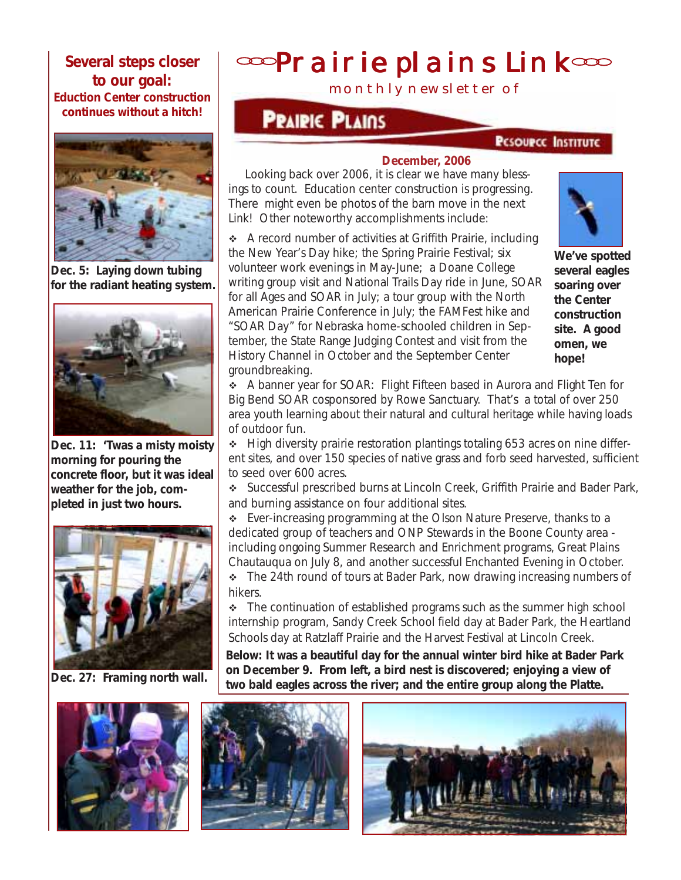**Several steps closer to our goal: Eduction Center construction continues without a hitch!**



**Dec. 5: Laying down tubing for the radiant heating system.**



**Dec. 11: 'Twas a misty moisty morning for pouring the concrete floor, but it was ideal weather for the job, completed in just two hours.**



**Dec. 27: Framing north wall.**



# **<sup>coop</sup>rairie plains Link<sup>coo</sup>**

monthly newsletter of

## **PRAIRIC PLAINS**

#### **PESOURCE INSTITUTE**

#### **December, 2006**

Looking back over 2006, it is clear we have many blessings to count. Education center construction is progressing. There *might* even be photos of the barn move in the next *Link*! Other noteworthy accomplishments include:

\* A record number of activities at Griffith Prairie, including the New Year's Day hike; the Spring Prairie Festival; six volunteer work evenings in May-June; a Doane College writing group visit and National Trails Day ride in June, SOAR for all Ages and SOAR in July; a tour group with the North American Prairie Conference in July; the FAMFest hike and "SOAR Day" for Nebraska home-schooled children in September, the State Range Judging Contest and visit from the History Channel in October and the September Center groundbreaking.



**We've spotted several eagles soaring over the Center construction site. A good omen, we hope!**

 A banner year for SOAR: Flight Fifteen based in Aurora and Flight Ten for Big Bend SOAR cosponsored by Rowe Sanctuary. That's a total of over 250 area youth learning about their natural and cultural heritage while having loads of outdoor fun.

 $\div$  High diversity prairie restoration plantings totaling 653 acres on nine different sites, and over 150 species of native grass and forb seed harvested, sufficient to seed over 600 acres.

 Successful prescribed burns at Lincoln Creek, Griffith Prairie and Bader Park, and burning assistance on four additional sites.

◆ Ever-increasing programming at the Olson Nature Preserve, thanks to a dedicated group of teachers and ONP Stewards in the Boone County area including ongoing Summer Research and Enrichment programs, Great Plains Chautauqua on July 8, and another successful Enchanted Evening in October.

• The 24th round of tours at Bader Park, now drawing increasing numbers of hikers.

 $\div$  The continuation of established programs such as the summer high school internship program, Sandy Creek School field day at Bader Park, the Heartland Schools day at Ratzlaff Prairie and the Harvest Festival at Lincoln Creek.

**Below: It was a beautiful day for the annual winter bird hike at Bader Park on December 9. From left, a bird nest is discovered; enjoying a view of two bald eagles across the river; and the entire group along the Platte.**